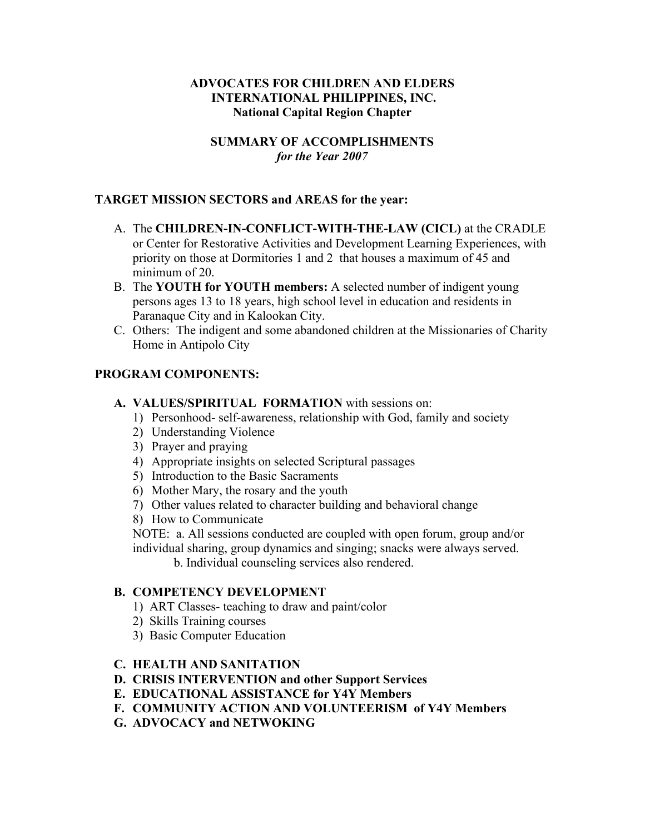#### **ADVOCATES FOR CHILDREN AND ELDERS INTERNATIONAL PHILIPPINES, INC. National Capital Region Chapter**

## **SUMMARY OF ACCOMPLISHMENTS** *for the Year 2007*

#### **TARGET MISSION SECTORS and AREAS for the year:**

- A. The **CHILDREN-IN-CONFLICT-WITH-THE-LAW (CICL)** at the CRADLE or Center for Restorative Activities and Development Learning Experiences, with priority on those at Dormitories 1 and 2 that houses a maximum of 45 and minimum of 20.
- B. The **YOUTH for YOUTH members:** A selected number of indigent young persons ages 13 to 18 years, high school level in education and residents in Paranaque City and in Kalookan City.
- C. Others: The indigent and some abandoned children at the Missionaries of Charity Home in Antipolo City

#### **PROGRAM COMPONENTS:**

#### **A. VALUES/SPIRITUAL FORMATION** with sessions on:

- 1) Personhood- self-awareness, relationship with God, family and society
- 2) Understanding Violence
- 3) Prayer and praying
- 4) Appropriate insights on selected Scriptural passages
- 5) Introduction to the Basic Sacraments
- 6) Mother Mary, the rosary and the youth
- 7) Other values related to character building and behavioral change
- 8) How to Communicate
- NOTE: a. All sessions conducted are coupled with open forum, group and/or individual sharing, group dynamics and singing; snacks were always served.

b. Individual counseling services also rendered.

#### **B. COMPETENCY DEVELOPMENT**

- 1) ART Classes- teaching to draw and paint/color
- 2) Skills Training courses
- 3) Basic Computer Education

#### **C. HEALTH AND SANITATION**

- **D. CRISIS INTERVENTION and other Support Services**
- **E. EDUCATIONAL ASSISTANCE for Y4Y Members**
- **F. COMMUNITY ACTION AND VOLUNTEERISM of Y4Y Members**
- **G. ADVOCACY and NETWOKING**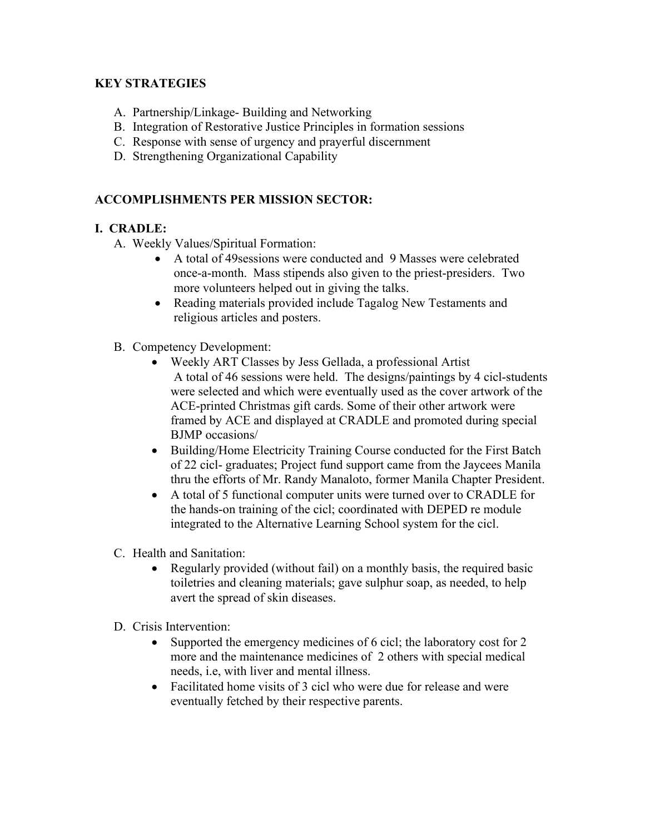# **KEY STRATEGIES**

- A. Partnership/Linkage- Building and Networking
- B. Integration of Restorative Justice Principles in formation sessions
- C. Response with sense of urgency and prayerful discernment
- D. Strengthening Organizational Capability

# **ACCOMPLISHMENTS PER MISSION SECTOR:**

## **I. CRADLE:**

- A. Weekly Values/Spiritual Formation:
	- A total of 49sessions were conducted and 9 Masses were celebrated once-a-month. Mass stipends also given to the priest-presiders. Two more volunteers helped out in giving the talks.
	- Reading materials provided include Tagalog New Testaments and religious articles and posters.
- B. Competency Development:
	- Weekly ART Classes by Jess Gellada, a professional Artist A total of 46 sessions were held. The designs/paintings by 4 cicl-students were selected and which were eventually used as the cover artwork of the ACE-printed Christmas gift cards. Some of their other artwork were framed by ACE and displayed at CRADLE and promoted during special BJMP occasions/
	- Building/Home Electricity Training Course conducted for the First Batch of 22 cicl- graduates; Project fund support came from the Jaycees Manila thru the efforts of Mr. Randy Manaloto, former Manila Chapter President.
	- A total of 5 functional computer units were turned over to CRADLE for the hands-on training of the cicl; coordinated with DEPED re module integrated to the Alternative Learning School system for the cicl.
- C. Health and Sanitation:
	- Regularly provided (without fail) on a monthly basis, the required basic toiletries and cleaning materials; gave sulphur soap, as needed, to help avert the spread of skin diseases.
- D. Crisis Intervention:
	- Supported the emergency medicines of 6 cicl; the laboratory cost for 2 more and the maintenance medicines of 2 others with special medical needs, i.e, with liver and mental illness.
	- Facilitated home visits of 3 cicl who were due for release and were eventually fetched by their respective parents.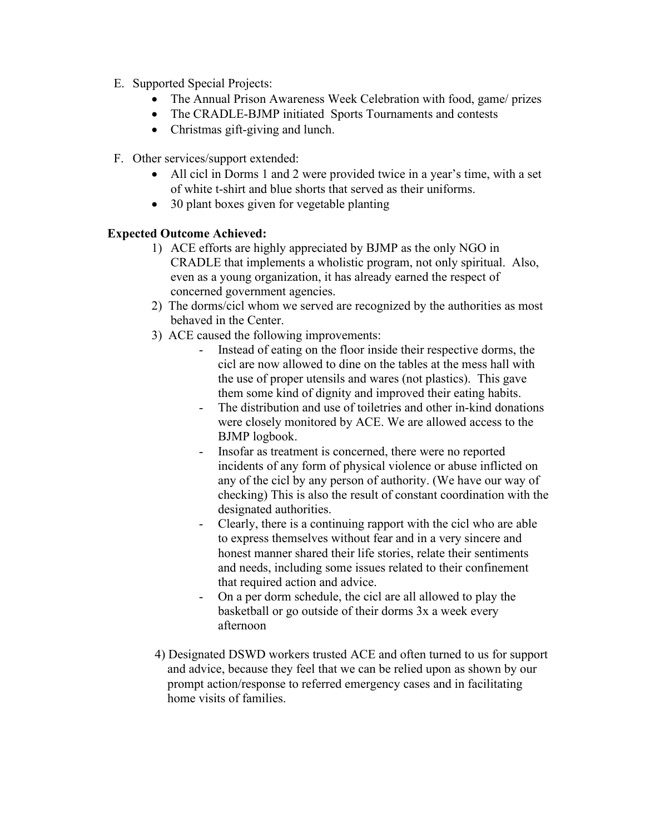- E. Supported Special Projects:
	- The Annual Prison Awareness Week Celebration with food, game/ prizes
	- The CRADLE-BJMP initiated Sports Tournaments and contests
	- Christmas gift-giving and lunch.
- F. Other services/support extended:
	- All cicl in Dorms 1 and 2 were provided twice in a year's time, with a set of white t-shirt and blue shorts that served as their uniforms.
	- 30 plant boxes given for vegetable planting

# **Expected Outcome Achieved:**

- 1) ACE efforts are highly appreciated by BJMP as the only NGO in CRADLE that implements a wholistic program, not only spiritual. Also, even as a young organization, it has already earned the respect of concerned government agencies.
- 2) The dorms/cicl whom we served are recognized by the authorities as most behaved in the Center.
- 3) ACE caused the following improvements:
	- Instead of eating on the floor inside their respective dorms, the cicl are now allowed to dine on the tables at the mess hall with the use of proper utensils and wares (not plastics). This gave them some kind of dignity and improved their eating habits.
	- The distribution and use of toiletries and other in-kind donations were closely monitored by ACE. We are allowed access to the BJMP logbook.
	- Insofar as treatment is concerned, there were no reported incidents of any form of physical violence or abuse inflicted on any of the cicl by any person of authority. (We have our way of checking) This is also the result of constant coordination with the designated authorities.
	- Clearly, there is a continuing rapport with the cicl who are able to express themselves without fear and in a very sincere and honest manner shared their life stories, relate their sentiments and needs, including some issues related to their confinement that required action and advice.
	- On a per dorm schedule, the cicl are all allowed to play the basketball or go outside of their dorms 3x a week every afternoon
- 4) Designated DSWD workers trusted ACE and often turned to us for support and advice, because they feel that we can be relied upon as shown by our prompt action/response to referred emergency cases and in facilitating home visits of families.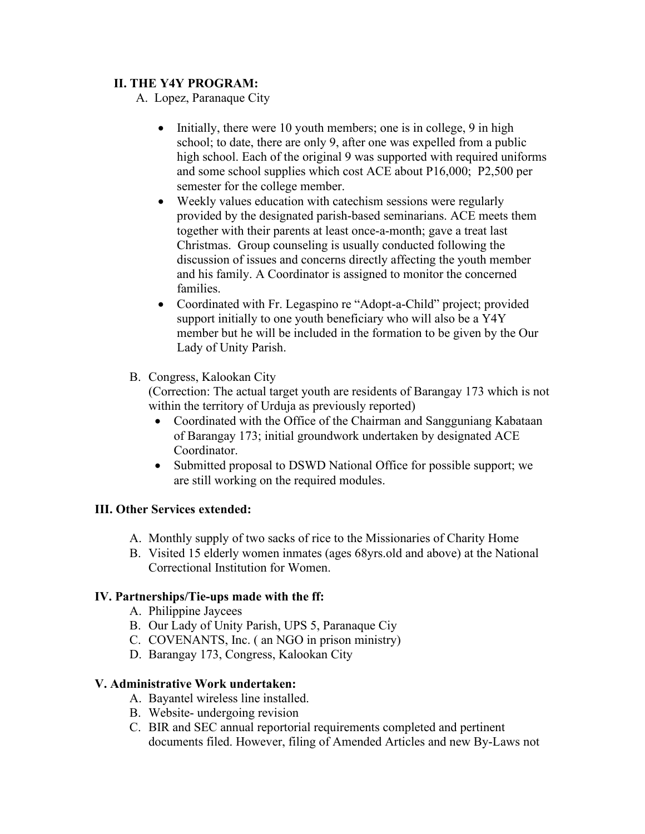# **II. THE Y4Y PROGRAM:**

A. Lopez, Paranaque City

- Initially, there were 10 youth members; one is in college, 9 in high school; to date, there are only 9, after one was expelled from a public high school. Each of the original 9 was supported with required uniforms and some school supplies which cost ACE about P16,000; P2,500 per semester for the college member.
- Weekly values education with catechism sessions were regularly provided by the designated parish-based seminarians. ACE meets them together with their parents at least once-a-month; gave a treat last Christmas. Group counseling is usually conducted following the discussion of issues and concerns directly affecting the youth member and his family. A Coordinator is assigned to monitor the concerned families.
- Coordinated with Fr. Legaspino re "Adopt-a-Child" project; provided support initially to one youth beneficiary who will also be a Y4Y member but he will be included in the formation to be given by the Our Lady of Unity Parish.
- B. Congress, Kalookan City

(Correction: The actual target youth are residents of Barangay 173 which is not within the territory of Urduja as previously reported)

- Coordinated with the Office of the Chairman and Sangguniang Kabataan of Barangay 173; initial groundwork undertaken by designated ACE Coordinator.
- Submitted proposal to DSWD National Office for possible support; we are still working on the required modules.

## **III. Other Services extended:**

- A. Monthly supply of two sacks of rice to the Missionaries of Charity Home
- B. Visited 15 elderly women inmates (ages 68yrs.old and above) at the National Correctional Institution for Women.

## **IV. Partnerships/Tie-ups made with the ff:**

- A. Philippine Jaycees
- B. Our Lady of Unity Parish, UPS 5, Paranaque Ciy
- C. COVENANTS, Inc. ( an NGO in prison ministry)
- D. Barangay 173, Congress, Kalookan City

## **V. Administrative Work undertaken:**

- A. Bayantel wireless line installed.
- B. Website- undergoing revision
- C. BIR and SEC annual reportorial requirements completed and pertinent documents filed. However, filing of Amended Articles and new By-Laws not